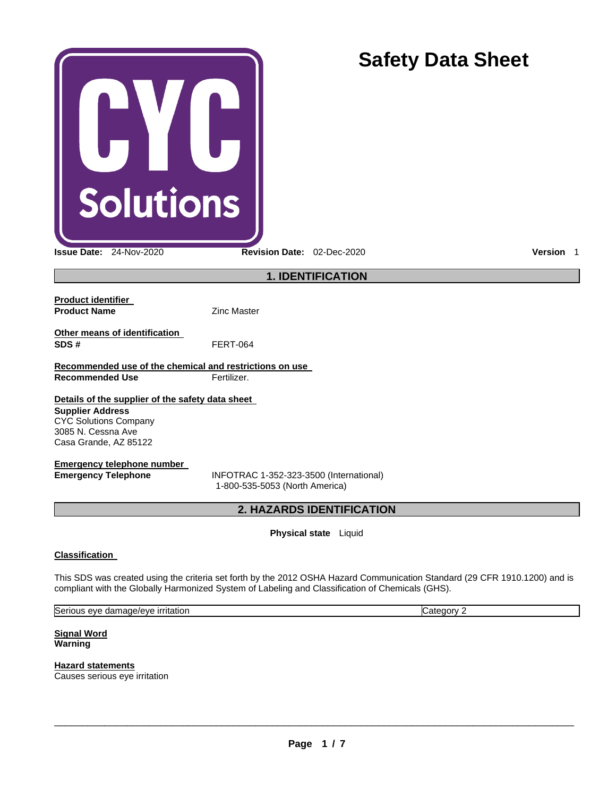| <b>Solutions</b>                                                                                                                                           |                                                                                                                                                                                                                                | <b>Safety Data Sheet</b> |
|------------------------------------------------------------------------------------------------------------------------------------------------------------|--------------------------------------------------------------------------------------------------------------------------------------------------------------------------------------------------------------------------------|--------------------------|
| Issue Date: 24-Nov-2020                                                                                                                                    | Revision Date: 02-Dec-2020                                                                                                                                                                                                     | Version 1                |
|                                                                                                                                                            | <b>1. IDENTIFICATION</b>                                                                                                                                                                                                       |                          |
| <b>Product identifier</b><br><b>Product Name</b>                                                                                                           | <b>Zinc Master</b>                                                                                                                                                                                                             |                          |
| Other means of identification<br>SDS#                                                                                                                      | <b>FERT-064</b>                                                                                                                                                                                                                |                          |
| Recommended use of the chemical and restrictions on use<br><b>Recommended Use</b>                                                                          | Fertilizer.                                                                                                                                                                                                                    |                          |
| Details of the supplier of the safety data sheet<br><b>Supplier Address</b><br><b>CYC Solutions Company</b><br>3085 N. Cessna Ave<br>Casa Grande, AZ 85122 |                                                                                                                                                                                                                                |                          |
| <b>Emergency telephone number</b><br><b>Emergency Telephone</b>                                                                                            | INFOTRAC 1-352-323-3500 (International)<br>1-800-535-5053 (North America)                                                                                                                                                      |                          |
| 2. HAZARDS IDENTIFICATION                                                                                                                                  |                                                                                                                                                                                                                                |                          |
|                                                                                                                                                            | Physical state Liquid                                                                                                                                                                                                          |                          |
| <b>Classification</b>                                                                                                                                      | This SDS was created using the criteria set forth by the 2012 OSHA Hazard Communication Standard (29 CFR 1910.1200) and is<br>compliant with the Globally Harmonized System of Labeling and Classification of Chemicals (GHS). |                          |
| Serious eye damage/eye irritation                                                                                                                          |                                                                                                                                                                                                                                | Category 2               |
| <b>Signal Word</b><br>Warning<br><b>Hazard statements</b>                                                                                                  |                                                                                                                                                                                                                                |                          |
| Causes serious eye irritation                                                                                                                              |                                                                                                                                                                                                                                |                          |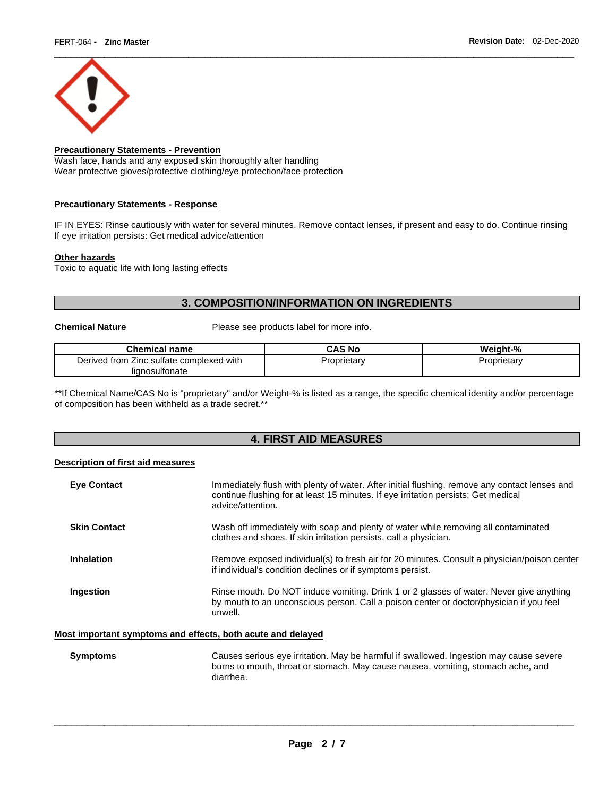

# **Precautionary Statements - Prevention**

Wash face, hands and any exposed skin thoroughly after handling Wear protective gloves/protective clothing/eye protection/face protection

#### **Precautionary Statements - Response**

IF IN EYES: Rinse cautiously with water for several minutes. Remove contact lenses, if present and easy to do. Continue rinsing If eye irritation persists: Get medical advice/attention

#### **Other hazards**

Toxic to aquatic life with long lasting effects

# **3. COMPOSITION/INFORMATION ON INGREDIENTS**

**Chemical Nature** Please see products label for more info.

| <b>Chemical name</b>                            | CAS No      | Weight-%    |
|-------------------------------------------------|-------------|-------------|
| I from Zinc sulfate complexed with<br>Derived f | Proprietary | Proprietarv |
| lignosulfonate                                  |             |             |

\*\*If Chemical Name/CAS No is "proprietary" and/or Weight-% is listed as a range, the specific chemical identity and/or percentage of composition has been withheld as a trade secret.\*\*

# **4. FIRST AID MEASURES**

### **Description of first aid measures**

| <b>Eye Contact</b>                                          | Immediately flush with plenty of water. After initial flushing, remove any contact lenses and<br>continue flushing for at least 15 minutes. If eye irritation persists: Get medical<br>advice/attention. |
|-------------------------------------------------------------|----------------------------------------------------------------------------------------------------------------------------------------------------------------------------------------------------------|
| <b>Skin Contact</b>                                         | Wash off immediately with soap and plenty of water while removing all contaminated<br>clothes and shoes. If skin irritation persists, call a physician.                                                  |
| Inhalation                                                  | Remove exposed individual(s) to fresh air for 20 minutes. Consult a physician/poison center<br>if individual's condition declines or if symptoms persist.                                                |
| Ingestion                                                   | Rinse mouth. Do NOT induce vomiting. Drink 1 or 2 glasses of water. Never give anything<br>by mouth to an unconscious person. Call a poison center or doctor/physician if you feel<br>unwell.            |
| Most important symptoms and effects, both acute and delayed |                                                                                                                                                                                                          |

**Symptoms** Causes serious eye irritation. May be harmful if swallowed. Ingestion may cause severe burns to mouth, throat or stomach. May cause nausea, vomiting, stomach ache, and diarrhea.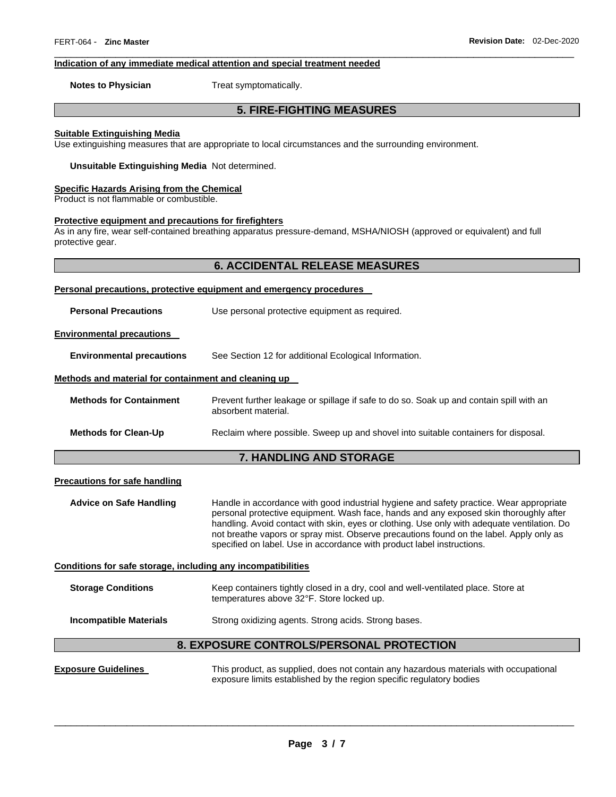#### **Indication of any immediate medical attention and special treatment needed**

**Notes to Physician Treat symptomatically.** 

# **5. FIRE-FIGHTING MEASURES**

\_\_\_\_\_\_\_\_\_\_\_\_\_\_\_\_\_\_\_\_\_\_\_\_\_\_\_\_\_\_\_\_\_\_\_\_\_\_\_\_\_\_\_\_\_\_\_\_\_\_\_\_\_\_\_\_\_\_\_\_\_\_\_\_\_\_\_\_\_\_\_\_\_\_\_\_\_\_\_\_\_\_\_\_\_\_\_\_\_\_\_\_\_

#### **Suitable Extinguishing Media**

Use extinguishing measures that are appropriate to local circumstances and the surrounding environment.

**Unsuitable Extinguishing Media** Not determined.

#### **Specific Hazards Arising from the Chemical**

Product is not flammable or combustible.

## **Protective equipment and precautions for firefighters**

As in any fire, wear self-contained breathing apparatus pressure-demand, MSHA/NIOSH (approved or equivalent) and full protective gear.

| Personal precautions, protective equipment and emergency procedures |                                                                                                                |  |
|---------------------------------------------------------------------|----------------------------------------------------------------------------------------------------------------|--|
| <b>Personal Precautions</b>                                         | Use personal protective equipment as required.                                                                 |  |
| <b>Environmental precautions</b>                                    |                                                                                                                |  |
| <b>Environmental precautions</b>                                    | See Section 12 for additional Ecological Information.                                                          |  |
| Methods and material for containment and cleaning up                |                                                                                                                |  |
| <b>Methods for Containment</b>                                      | Prevent further leakage or spillage if safe to do so. Soak up and contain spill with an<br>absorbent material. |  |
| <b>Methods for Clean-Up</b>                                         | Reclaim where possible. Sweep up and shovel into suitable containers for disposal.                             |  |
| <b>7. HANDLING AND STORAGE</b>                                      |                                                                                                                |  |

#### **Precautions for safe handling**

**Advice on Safe Handling** Handle in accordance with good industrial hygiene and safety practice. Wear appropriate personal protective equipment. Wash face, hands and any exposed skin thoroughly after handling. Avoid contact with skin, eyes or clothing. Use only with adequate ventilation. Do not breathe vapors or spray mist. Observe precautions found on the label. Apply only as specified on label. Use in accordance with product label instructions.

#### **Conditions for safe storage, including any incompatibilities**

| <b>Storage Conditions</b> | Keep containers tightly closed in a dry, cool and well-ventilated place. Store at |
|---------------------------|-----------------------------------------------------------------------------------|
|                           | temperatures above 32°F. Store locked up.                                         |
|                           |                                                                                   |

## **Incompatible Materials Strong oxidizing agents. Strong acids. Strong bases.**

## **8. EXPOSURE CONTROLS/PERSONAL PROTECTION**

**Exposure Guidelines** This product, as supplied, does not contain any hazardous materials with occupational exposure limits established by the region specific regulatory bodies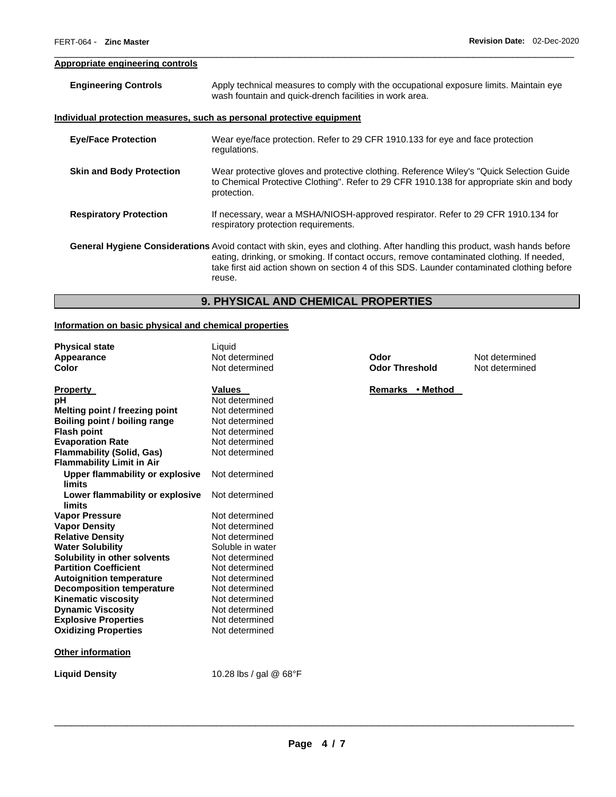# **Appropriate engineering controls**

| <b>Engineering Controls</b>     | Apply technical measures to comply with the occupational exposure limits. Maintain eye<br>wash fountain and quick-drench facilities in work area.                                                                                                                                                                              |
|---------------------------------|--------------------------------------------------------------------------------------------------------------------------------------------------------------------------------------------------------------------------------------------------------------------------------------------------------------------------------|
|                                 | <u>Individual protection measures, such as personal protective equipment</u>                                                                                                                                                                                                                                                   |
| <b>Eye/Face Protection</b>      | Wear eye/face protection. Refer to 29 CFR 1910.133 for eye and face protection<br>regulations.                                                                                                                                                                                                                                 |
| <b>Skin and Body Protection</b> | Wear protective gloves and protective clothing. Reference Wiley's "Quick Selection Guide"<br>to Chemical Protective Clothing". Refer to 29 CFR 1910.138 for appropriate skin and body<br>protection.                                                                                                                           |
| <b>Respiratory Protection</b>   | If necessary, wear a MSHA/NIOSH-approved respirator. Refer to 29 CFR 1910.134 for<br>respiratory protection requirements.                                                                                                                                                                                                      |
|                                 | General Hygiene Considerations Avoid contact with skin, eyes and clothing. After handling this product, wash hands before<br>eating, drinking, or smoking. If contact occurs, remove contaminated clothing. If needed,<br>take first aid action shown on section 4 of this SDS. Launder contaminated clothing before<br>reuse. |

\_\_\_\_\_\_\_\_\_\_\_\_\_\_\_\_\_\_\_\_\_\_\_\_\_\_\_\_\_\_\_\_\_\_\_\_\_\_\_\_\_\_\_\_\_\_\_\_\_\_\_\_\_\_\_\_\_\_\_\_\_\_\_\_\_\_\_\_\_\_\_\_\_\_\_\_\_\_\_\_\_\_\_\_\_\_\_\_\_\_\_\_\_

# **9. PHYSICAL AND CHEMICAL PROPERTIES**

## **Information on basic physical and chemical properties**

| <b>Physical state</b><br><b>Appearance</b><br>Color | Liquid<br>Not determined<br>Not determined |
|-----------------------------------------------------|--------------------------------------------|
| <b>Property</b>                                     | <b>Values</b>                              |
| рH                                                  | Not determined                             |
| Melting point / freezing point                      | Not determined                             |
| <b>Boiling point / boiling range</b>                | Not determined                             |
| <b>Flash point</b>                                  | Not determined                             |
| <b>Evaporation Rate</b>                             | Not determined                             |
| <b>Flammability (Solid, Gas)</b>                    | Not determined                             |
| <b>Flammability Limit in Air</b>                    |                                            |
| <b>Upper flammability or explosive</b>              | Not determined                             |
| limits                                              |                                            |
| Lower flammability or explosive                     | Not determined                             |
| limits                                              |                                            |
| <b>Vapor Pressure</b>                               | Not determined                             |
| <b>Vapor Density</b>                                | Not determined                             |
| <b>Relative Density</b>                             | Not determined                             |
| <b>Water Solubility</b>                             | Soluble in water                           |
| Solubility in other solvents                        | Not determined                             |
| <b>Partition Coefficient</b>                        | Not determined                             |
| <b>Autoignition temperature</b>                     | Not determined                             |
| <b>Decomposition temperature</b>                    | Not determined                             |
| <b>Kinematic viscosity</b>                          | Not determined                             |
| <b>Dynamic Viscosity</b>                            | Not determined                             |
| <b>Explosive Properties</b>                         | Not determined                             |
| <b>Oxidizing Properties</b>                         | Not determined                             |
| <b>Other information</b>                            |                                            |
| <b>Liquid Density</b>                               | 10.28 lbs / gal @ 68°F                     |

**Apple Therefore End Codor<br>
<b>A** Post determined<br> **A** Not determined **Odor Threshold** 

Remarks • Method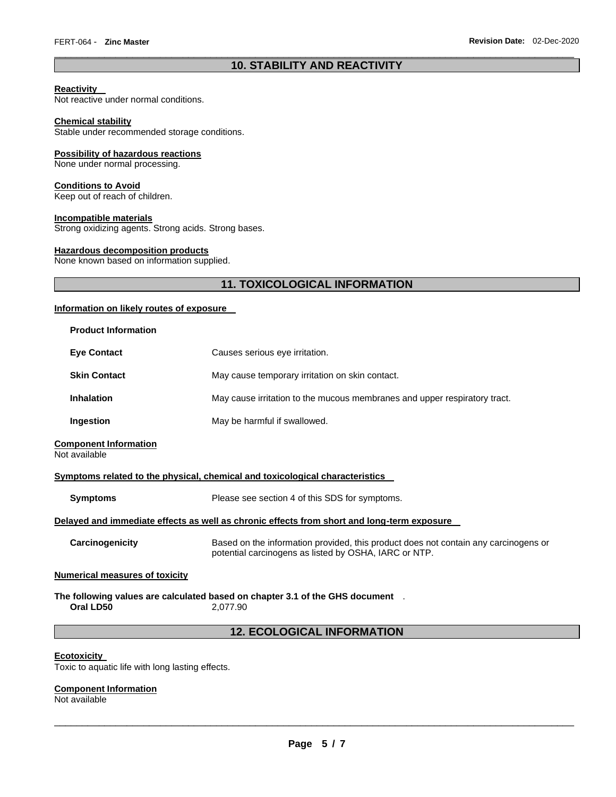# \_\_\_\_\_\_\_\_\_\_\_\_\_\_\_\_\_\_\_\_\_\_\_\_\_\_\_\_\_\_\_\_\_\_\_\_\_\_\_\_\_\_\_\_\_\_\_\_\_\_\_\_\_\_\_\_\_\_\_\_\_\_\_\_\_\_\_\_\_\_\_\_\_\_\_\_\_\_\_\_\_\_\_\_\_\_\_\_\_\_\_\_\_ **10. STABILITY AND REACTIVITY**

## **Reactivity**

Not reactive under normal conditions.

#### **Chemical stability**

Stable under recommended storage conditions.

#### **Possibility of hazardous reactions**

None under normal processing.

# **Conditions to Avoid**

Keep out of reach of children.

### **Incompatible materials**

Strong oxidizing agents. Strong acids. Strong bases.

## **Hazardous decomposition products**

None known based on information supplied.

# **11. TOXICOLOGICAL INFORMATION**

## **Information on likely routes of exposure**

| <b>Product Information</b>                                                                                          |                                                                                                                                              |  |
|---------------------------------------------------------------------------------------------------------------------|----------------------------------------------------------------------------------------------------------------------------------------------|--|
| <b>Eye Contact</b>                                                                                                  | Causes serious eye irritation.                                                                                                               |  |
| <b>Skin Contact</b>                                                                                                 | May cause temporary irritation on skin contact.                                                                                              |  |
| <b>Inhalation</b>                                                                                                   | May cause irritation to the mucous membranes and upper respiratory tract.                                                                    |  |
| Ingestion                                                                                                           | May be harmful if swallowed.                                                                                                                 |  |
| <b>Component Information</b><br>Not available                                                                       |                                                                                                                                              |  |
|                                                                                                                     | Symptoms related to the physical, chemical and toxicological characteristics                                                                 |  |
| <b>Symptoms</b>                                                                                                     | Please see section 4 of this SDS for symptoms.                                                                                               |  |
| Delayed and immediate effects as well as chronic effects from short and long-term exposure                          |                                                                                                                                              |  |
| Carcinogenicity                                                                                                     | Based on the information provided, this product does not contain any carcinogens or<br>potential carcinogens as listed by OSHA, IARC or NTP. |  |
| <b>Numerical measures of toxicity</b>                                                                               |                                                                                                                                              |  |
| The following values are calculated based on chapter 3.1 of the GHS document $\hskip1mm$ .<br>Oral LD50<br>2.077.90 |                                                                                                                                              |  |
| <b>12. ECOLOGICAL INFORMATION</b>                                                                                   |                                                                                                                                              |  |
|                                                                                                                     |                                                                                                                                              |  |

## **Ecotoxicity**

Toxic to aquatic life with long lasting effects.

## **Component Information**

Not available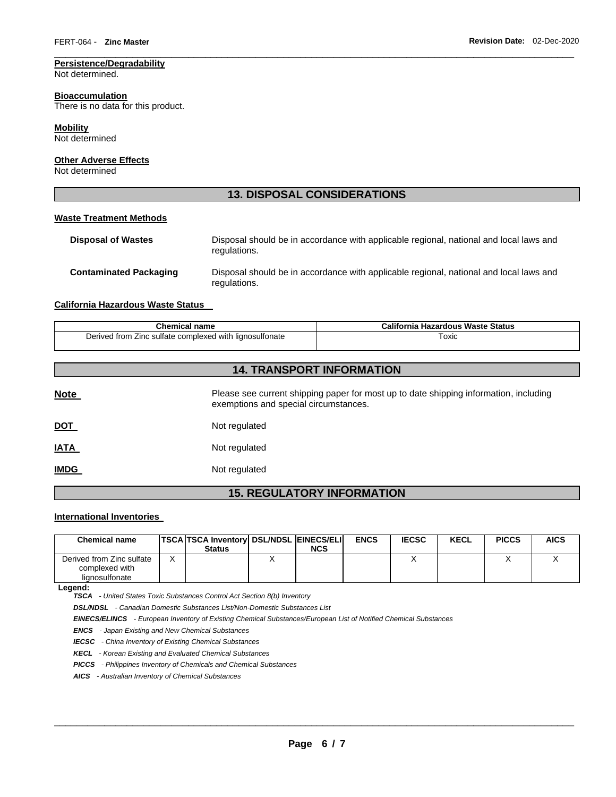## **Persistence/Degradability**

Not determined.

#### **Bioaccumulation**

There is no data for this product.

## **Mobility**

Not determined

## **Other Adverse Effects**

Not determined

## **13. DISPOSAL CONSIDERATIONS**

\_\_\_\_\_\_\_\_\_\_\_\_\_\_\_\_\_\_\_\_\_\_\_\_\_\_\_\_\_\_\_\_\_\_\_\_\_\_\_\_\_\_\_\_\_\_\_\_\_\_\_\_\_\_\_\_\_\_\_\_\_\_\_\_\_\_\_\_\_\_\_\_\_\_\_\_\_\_\_\_\_\_\_\_\_\_\_\_\_\_\_\_\_

#### **Waste Treatment Methods**

| <b>Disposal of Wastes</b>     | Disposal should be in accordance with applicable regional, national and local laws and<br>regulations. |
|-------------------------------|--------------------------------------------------------------------------------------------------------|
| <b>Contaminated Packaging</b> | Disposal should be in accordance with applicable regional, national and local laws and<br>regulations. |

## **California Hazardous Waste Status**

| <b>Chemical name</b>                                    | California Hazardous Waste Status |
|---------------------------------------------------------|-----------------------------------|
| Derived from Zinc sulfate complexed with lignosulfonate | Toxic                             |

# **14. TRANSPORT INFORMATION**

| <b>Note</b> | Please see current shipping paper for most up to date shipping information, including<br>exemptions and special circumstances. |
|-------------|--------------------------------------------------------------------------------------------------------------------------------|
| <u>DOT</u>  | Not regulated                                                                                                                  |
| <b>IATA</b> | Not regulated                                                                                                                  |
| <b>IMDG</b> | Not regulated                                                                                                                  |

# **15. REGULATORY INFORMATION**

# **International Inventories**

| Chemical name                                                 | <b>TSCA TSCA Inventory DSL/NDSL EINECS/ELI</b><br><b>Status</b> | <b>NCS</b> | <b>ENCS</b> | <b>IECSC</b> | <b>KECL</b> | <b>PICCS</b> | <b>AICS</b> |
|---------------------------------------------------------------|-----------------------------------------------------------------|------------|-------------|--------------|-------------|--------------|-------------|
| Derived from Zinc sulfate<br>complexed with<br>lignosulfonate |                                                                 |            |             |              |             |              |             |

**Legend:** 

*TSCA - United States Toxic Substances Control Act Section 8(b) Inventory* 

*DSL/NDSL - Canadian Domestic Substances List/Non-Domestic Substances List* 

*EINECS/ELINCS - European Inventory of Existing Chemical Substances/European List of Notified Chemical Substances* 

*ENCS - Japan Existing and New Chemical Substances* 

*IECSC - China Inventory of Existing Chemical Substances* 

*KECL - Korean Existing and Evaluated Chemical Substances* 

*PICCS - Philippines Inventory of Chemicals and Chemical Substances* 

*AICS - Australian Inventory of Chemical Substances*